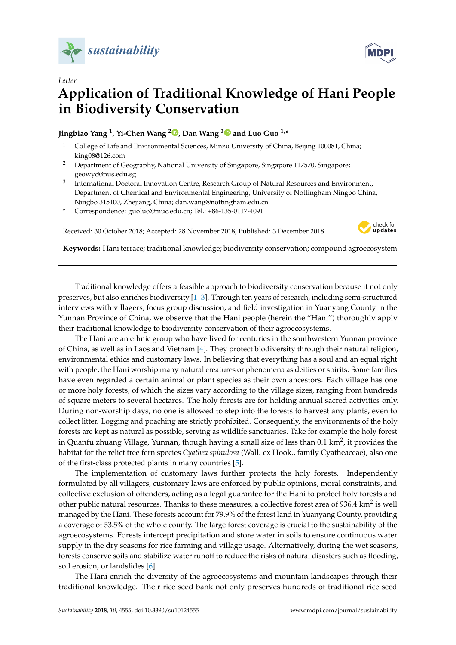



## **Application of Traditional Knowledge of Hani People in Biodiversity Conservation**

**Jingbiao Yang <sup>1</sup> , Yi-Chen Wang <sup>2</sup> [,](https://orcid.org/0000-0002-3034-7377) Dan Wang [3](https://orcid.org/0000-0002-8050-6591) and Luo Guo 1,\***

- <sup>1</sup> College of Life and Environmental Sciences, Minzu University of China, Beijing 100081, China; king08@126.com
- <sup>2</sup> Department of Geography, National University of Singapore, Singapore 117570, Singapore; geowyc@nus.edu.sg
- 3 International Doctoral Innovation Centre, Research Group of Natural Resources and Environment, Department of Chemical and Environmental Engineering, University of Nottingham Ningbo China, Ningbo 315100, Zhejiang, China; dan.wang@nottingham.edu.cn
- **\*** Correspondence: guoluo@muc.edu.cn; Tel.: +86-135-0117-4091

Received: 30 October 2018; Accepted: 28 November 2018; Published: 3 December 2018



**Keywords:** Hani terrace; traditional knowledge; biodiversity conservation; compound agroecosystem

Traditional knowledge offers a feasible approach to biodiversity conservation because it not only preserves, but also enriches biodiversity [\[1–](#page-2-0)[3\]](#page-2-1). Through ten years of research, including semi-structured interviews with villagers, focus group discussion, and field investigation in Yuanyang County in the Yunnan Province of China, we observe that the Hani people (herein the "Hani") thoroughly apply their traditional knowledge to biodiversity conservation of their agroecosystems.

The Hani are an ethnic group who have lived for centuries in the southwestern Yunnan province of China, as well as in Laos and Vietnam [\[4\]](#page-2-2). They protect biodiversity through their natural religion, environmental ethics and customary laws. In believing that everything has a soul and an equal right with people, the Hani worship many natural creatures or phenomena as deities or spirits. Some families have even regarded a certain animal or plant species as their own ancestors. Each village has one or more holy forests, of which the sizes vary according to the village sizes, ranging from hundreds of square meters to several hectares. The holy forests are for holding annual sacred activities only. During non-worship days, no one is allowed to step into the forests to harvest any plants, even to collect litter. Logging and poaching are strictly prohibited. Consequently, the environments of the holy forests are kept as natural as possible, serving as wildlife sanctuaries. Take for example the holy forest in Quanfu zhuang Village, Yunnan, though having a small size of less than  $0.1\ \rm{km^2}$ , it provides the habitat for the relict tree fern species *Cyathea spinulosa* (Wall. ex Hook., family Cyatheaceae), also one of the first-class protected plants in many countries [\[5\]](#page-2-3).

The implementation of customary laws further protects the holy forests. Independently formulated by all villagers, customary laws are enforced by public opinions, moral constraints, and collective exclusion of offenders, acting as a legal guarantee for the Hani to protect holy forests and other public natural resources. Thanks to these measures, a collective forest area of 936.4 km<sup>2</sup> is well managed by the Hani. These forests account for 79.9% of the forest land in Yuanyang County, providing a coverage of 53.5% of the whole county. The large forest coverage is crucial to the sustainability of the agroecosystems. Forests intercept precipitation and store water in soils to ensure continuous water supply in the dry seasons for rice farming and village usage. Alternatively, during the wet seasons, forests conserve soils and stabilize water runoff to reduce the risks of natural disasters such as flooding, soil erosion, or landslides [\[6\]](#page-2-4).

The Hani enrich the diversity of the agroecosystems and mountain landscapes through their traditional knowledge. Their rice seed bank not only preserves hundreds of traditional rice seed

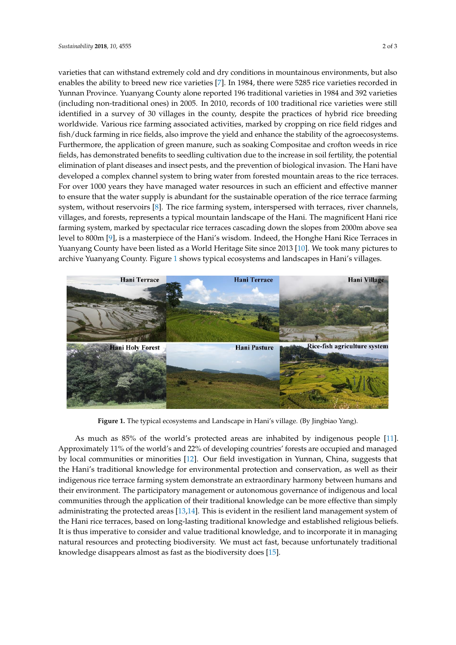varieties that can withstand extremely cold and dry conditions in mountainous environments, but also<br>varieties that can withstand extremely cold and dry conditions in mountainous environments, but also enables the ability to breed new rice varieties [\[7\]](#page-2-5). In 1984, there were 5285 rice varieties recorded in Yunnan Province. Yuanyang County alone reported 196 traditional varieties in 1984 and 392 varieties (including non-traditional ones) in 2005. In 2010, records of 100 traditional rice varieties were still identified in a survey of 30 villages in the county, despite the practices of hybrid rice breeding worldwide. Various rice farming associated activities, marked by cropping on rice field ridges and worldwide. Various rice farming associated activities, marked by cropping on rice field ridges and fish/duck farming in rice fields, also improve the yield and enhance the stability of the agroecosystems. fish/duck farming in rice fields, also improve the yield and enhance the stability of the Furthermore, the application of green manure, such as soaking Compositae and crofton weeds in rice fields, has demonstrated benefits to seedling cultivation due to the increase in soil fertility, the potential elimination of plant diseases and insect pests, and the prevention of biological invasion. The Hani have developed a complex channel system to bring water from forested mountain areas to the rice terraces. For over 1000 years they have managed water resources in such an efficient and effective manner to ensure that the water supply is abundant for the sustainable operation of the rice terrace farming system, without reservoirs [\[8\]](#page-2-6). The rice farming system, interspersed with terraces, river channels, villages, and forests, represents a typical mountain landscape of the Hani. The magnificent Hani rice farming system, marked by spectacular rice terraces cascading down the slopes from 2000m above sea level to 800m [\[9\]](#page-2-7), is a masterpiece of the Hani's wisdom. Indeed, the Honghe Hani Rice Terraces in Yuanyang County have been listed as a World Heritage Site since 2013 [\[10\]](#page-2-8). We took many pictures to archive Yuanyang County. Figure [1](#page-1-0) shows typical ecosystems and landscapes in Hani's villages.<br>.  $\frac{H}{L}$  since 2013 and 2013 and 2013 increase the since 2013 [10]. We took many pictures

<span id="page-1-0"></span>

**Figure 1.** The typical ecosystems and Landscape in Hani's village.(By Jingbiao Yang). **Figure 1.** The typical ecosystems and Landscape in Hani's village. (By Jingbiao Yang).

As much as 85% of the world's protected areas are inhabited by indigenous people [11]. As much as 85% of the world's protected areas are inhabited by indigenous people [\[11\]](#page-2-9). Approximately 11% of the world's and 22% of developing countries' forests are occupied and Approximately 11% of the world's and 22% of developing countries' forests are occupied and managed by local communities or minorities [\[12\]](#page-2-10). Our field investigation in Yunnan, China, suggests that the Hani's traditional knowledge for environmental protection and conservation, as well as their indigenous rice terrace farming system demonstrate an extraordinary harmony between humans and indigenous rice terrace farming system demonstrate an extraordinary harmony between humans and their environment. The participatory management or autonomous governance of indigenous and their environment. The participatory management or autonomous governance of indigenous and local communities through the application of their traditional knowledge can be more effective than simply simply administration and  $\sim$  113–141  $\sigma$  and management in the protected areas  $\sigma$  and  $\sigma$  are  $\sigma$  are  $\sigma$  are  $\sigma$  and  $\sigma$  are  $\sigma$  are  $\sigma$  are  $\sigma$  and  $\sigma$  are  $\sigma$  are  $\sigma$  are  $\sigma$  and  $\sigma$  are  $\sigma$  are  $\sigma$ administrating the protected areas [\[13](#page-2-11)[,14\]](#page-2-12). This is evident in the resilient land management system of the Hani rice terraces, based on long-lasting traditional knowledge and established religious beliefs.<br>The consideration of the contract of the constant of the constant of the constant of the constant of the const It is thus imperative to consider and value traditional knowledge, and to incorporate it in managing natural resources and protecting biodiversity. We must act fast, because unfortunately traditional **Author Contributions:** All authors have contributed to the development of the research and in the elaboration knowledge disappears almost as fast as the biodiversity does [\[15\]](#page-2-13).